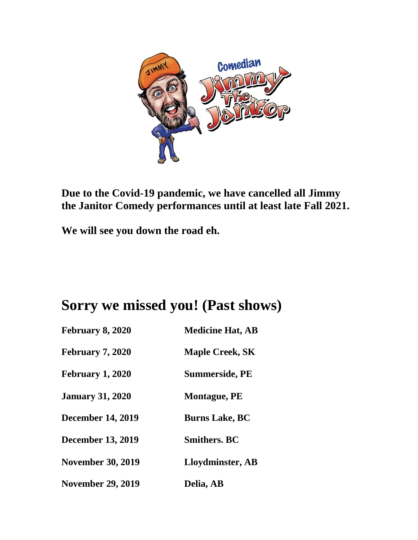

**Due to the Covid-19 pandemic, we have cancelled all Jimmy the Janitor Comedy performances until at least late Fall 2021.** 

**We will see you down the road eh.**

## **Sorry we missed you! (Past shows)**

| <b>February 8, 2020</b>  | <b>Medicine Hat, AB</b> |
|--------------------------|-------------------------|
| <b>February 7, 2020</b>  | <b>Maple Creek, SK</b>  |
| <b>February 1, 2020</b>  | <b>Summerside, PE</b>   |
| <b>January 31, 2020</b>  | <b>Montague, PE</b>     |
| <b>December 14, 2019</b> | <b>Burns Lake, BC</b>   |
| <b>December 13, 2019</b> | <b>Smithers</b> , BC    |
| <b>November 30, 2019</b> | Lloydminster, AB        |
| <b>November 29, 2019</b> | Delia, AB               |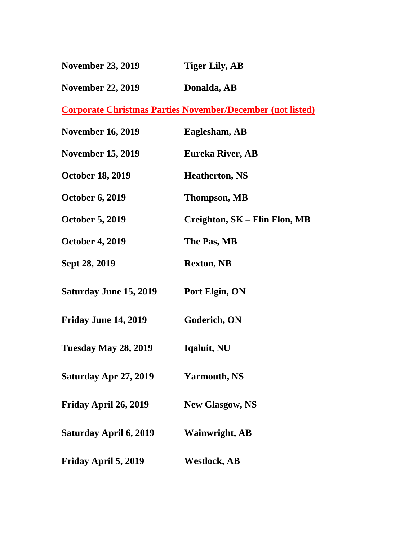| <b>November 23, 2019</b> | <b>Tiger Lily, AB</b> |
|--------------------------|-----------------------|
|                          |                       |

November 22, 2019 Donalda, AB

**Corporate Christmas Parties November/December (not listed)**

| <b>November 16, 2019</b>      | Eaglesham, AB                 |
|-------------------------------|-------------------------------|
| <b>November 15, 2019</b>      | <b>Eureka River, AB</b>       |
| <b>October 18, 2019</b>       | <b>Heatherton, NS</b>         |
| <b>October 6, 2019</b>        | <b>Thompson, MB</b>           |
| <b>October 5, 2019</b>        | Creighton, SK - Flin Flon, MB |
| <b>October 4, 2019</b>        | The Pas, MB                   |
| Sept 28, 2019                 | <b>Rexton, NB</b>             |
| <b>Saturday June 15, 2019</b> | Port Elgin, ON                |
| <b>Friday June 14, 2019</b>   | Goderich, ON                  |
| <b>Tuesday May 28, 2019</b>   | Iqaluit, NU                   |
| Saturday Apr 27, 2019         | <b>Yarmouth, NS</b>           |
| Friday April 26, 2019         | <b>New Glasgow, NS</b>        |
| Saturday April 6, 2019        | <b>Wainwright, AB</b>         |
| Friday April 5, 2019          | <b>Westlock, AB</b>           |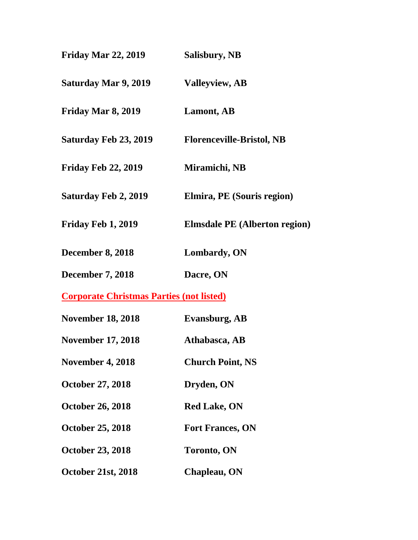| <b>Friday Mar 22, 2019</b>                      | Salisbury, NB                        |
|-------------------------------------------------|--------------------------------------|
| <b>Saturday Mar 9, 2019</b>                     | <b>Valleyview, AB</b>                |
| Friday Mar 8, 2019                              | Lamont, AB                           |
| <b>Saturday Feb 23, 2019</b>                    | <b>Florenceville-Bristol, NB</b>     |
| <b>Friday Feb 22, 2019</b>                      | Miramichi, NB                        |
| <b>Saturday Feb 2, 2019</b>                     | Elmira, PE (Souris region)           |
| Friday Feb 1, 2019                              | <b>Elmsdale PE</b> (Alberton region) |
| <b>December 8, 2018</b>                         | Lombardy, ON                         |
| <b>December 7, 2018</b>                         | Dacre, ON                            |
| <b>Corporate Christmas Parties (not listed)</b> |                                      |
| <b>November 18, 2018</b>                        | <b>Evansburg, AB</b>                 |
| <b>November 17, 2018</b>                        | Athabasca, AB                        |
| <b>November 4, 2018</b>                         | <b>Church Point, NS</b>              |
| <b>October 27, 2018</b>                         | Dryden, ON                           |
| <b>October 26, 2018</b>                         | <b>Red Lake, ON</b>                  |
| <b>October 25, 2018</b>                         | <b>Fort Frances, ON</b>              |
| <b>October 23, 2018</b>                         | <b>Toronto, ON</b>                   |
| <b>October 21st, 2018</b>                       | Chapleau, ON                         |
|                                                 |                                      |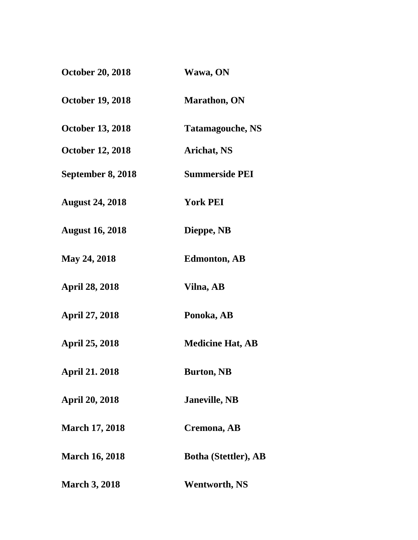| <b>October 20, 2018</b> | Wawa, ON                    |
|-------------------------|-----------------------------|
| <b>October 19, 2018</b> | <b>Marathon, ON</b>         |
| <b>October 13, 2018</b> | <b>Tatamagouche, NS</b>     |
| <b>October 12, 2018</b> | <b>Arichat, NS</b>          |
| September 8, 2018       | <b>Summerside PEI</b>       |
| <b>August 24, 2018</b>  | <b>York PEI</b>             |
| <b>August 16, 2018</b>  | Dieppe, NB                  |
| <b>May 24, 2018</b>     | <b>Edmonton, AB</b>         |
| <b>April 28, 2018</b>   | Vilna, AB                   |
| <b>April 27, 2018</b>   | Ponoka, AB                  |
| <b>April 25, 2018</b>   | <b>Medicine Hat, AB</b>     |
| <b>April 21. 2018</b>   | <b>Burton, NB</b>           |
| <b>April 20, 2018</b>   | <b>Janeville, NB</b>        |
| <b>March 17, 2018</b>   | Cremona, AB                 |
| <b>March 16, 2018</b>   | <b>Botha (Stettler), AB</b> |
| <b>March 3, 2018</b>    | <b>Wentworth, NS</b>        |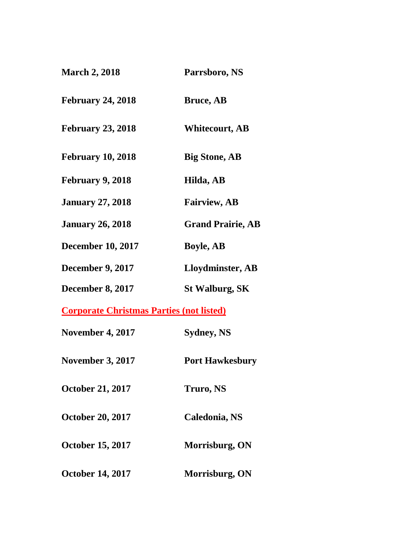| <b>March 2, 2018</b>                            | Parrsboro, NS            |
|-------------------------------------------------|--------------------------|
| <b>February 24, 2018</b>                        | <b>Bruce, AB</b>         |
| <b>February 23, 2018</b>                        | <b>Whitecourt, AB</b>    |
| <b>February 10, 2018</b>                        | <b>Big Stone, AB</b>     |
| <b>February 9, 2018</b>                         | Hilda, AB                |
| <b>January 27, 2018</b>                         | <b>Fairview, AB</b>      |
| <b>January 26, 2018</b>                         | <b>Grand Prairie, AB</b> |
| <b>December 10, 2017</b>                        | <b>Boyle, AB</b>         |
| <b>December 9, 2017</b>                         | Lloydminster, AB         |
| <b>December 8, 2017</b>                         | <b>St Walburg, SK</b>    |
| <b>Corporate Christmas Parties (not listed)</b> |                          |
| <b>November 4, 2017</b>                         | <b>Sydney, NS</b>        |
| <b>November 3, 2017</b>                         | <b>Port Hawkesbury</b>   |
| <b>October 21, 2017</b>                         | <b>Truro, NS</b>         |
| <b>October 20, 2017</b>                         | Caledonia, NS            |
| <b>October 15, 2017</b>                         | Morrisburg, ON           |
|                                                 |                          |

**October 14, 2017 Morrisburg, ON**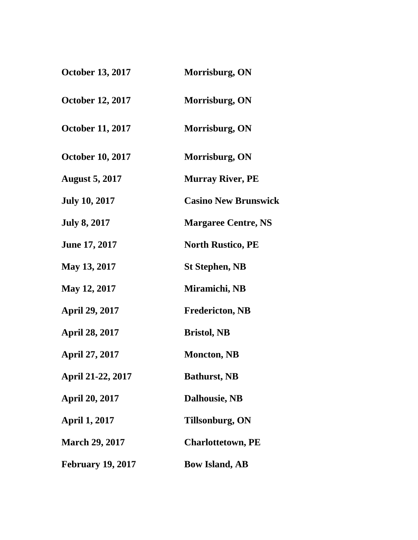| <b>October 13, 2017</b>  | Morrisburg, ON              |
|--------------------------|-----------------------------|
| <b>October 12, 2017</b>  | Morrisburg, ON              |
| <b>October 11, 2017</b>  | Morrisburg, ON              |
| <b>October 10, 2017</b>  | Morrisburg, ON              |
| <b>August 5, 2017</b>    | <b>Murray River, PE</b>     |
| <b>July 10, 2017</b>     | <b>Casino New Brunswick</b> |
| <b>July 8, 2017</b>      | <b>Margaree Centre, NS</b>  |
| <b>June 17, 2017</b>     | <b>North Rustico, PE</b>    |
| <b>May 13, 2017</b>      | <b>St Stephen, NB</b>       |
| <b>May 12, 2017</b>      | Miramichi, NB               |
| <b>April 29, 2017</b>    | <b>Fredericton, NB</b>      |
| April 28, 2017           | <b>Bristol</b> , NB         |
| <b>April 27, 2017</b>    | <b>Moncton, NB</b>          |
| April 21-22, 2017        | <b>Bathurst, NB</b>         |
| April 20, 2017           | <b>Dalhousie, NB</b>        |
| <b>April 1, 2017</b>     | <b>Tillsonburg, ON</b>      |
| <b>March 29, 2017</b>    | <b>Charlottetown, PE</b>    |
| <b>February 19, 2017</b> | <b>Bow Island, AB</b>       |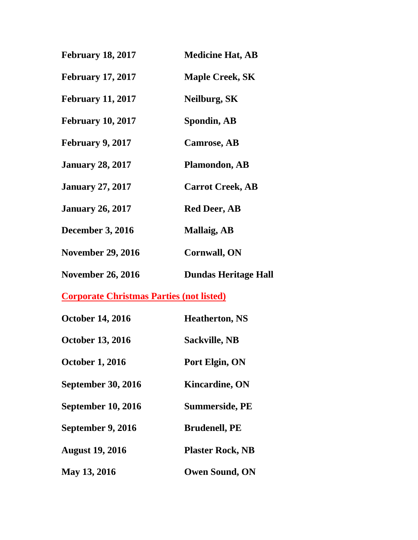| <b>February 18, 2017</b> | <b>Medicine Hat, AB</b>     |
|--------------------------|-----------------------------|
| <b>February 17, 2017</b> | <b>Maple Creek, SK</b>      |
| <b>February 11, 2017</b> | Neilburg, SK                |
| <b>February 10, 2017</b> | Spondin, AB                 |
| <b>February 9, 2017</b>  | <b>Camrose, AB</b>          |
| <b>January 28, 2017</b>  | <b>Plamondon, AB</b>        |
| <b>January 27, 2017</b>  | <b>Carrot Creek, AB</b>     |
| <b>January 26, 2017</b>  | <b>Red Deer, AB</b>         |
| <b>December 3, 2016</b>  | <b>Mallaig, AB</b>          |
| <b>November 29, 2016</b> | <b>Cornwall, ON</b>         |
| <b>November 26, 2016</b> | <b>Dundas Heritage Hall</b> |
|                          |                             |

| <b>October 14, 2016</b>   | <b>Heatherton, NS</b>   |
|---------------------------|-------------------------|
| <b>October 13, 2016</b>   | <b>Sackville, NB</b>    |
| <b>October 1, 2016</b>    | Port Elgin, ON          |
| <b>September 30, 2016</b> | <b>Kincardine, ON</b>   |
| <b>September 10, 2016</b> | <b>Summerside, PE</b>   |
| September 9, 2016         | <b>Brudenell, PE</b>    |
| <b>August 19, 2016</b>    | <b>Plaster Rock, NB</b> |
| May 13, 2016              | <b>Owen Sound, ON</b>   |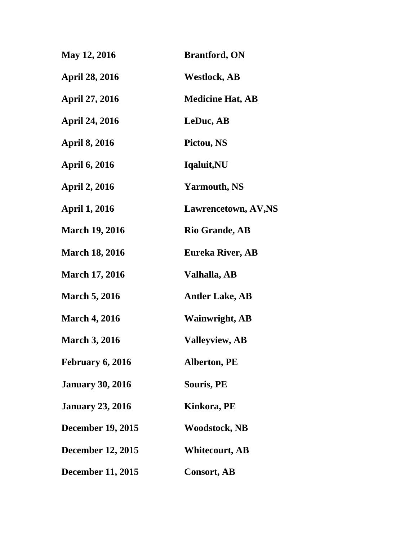| <b>May 12, 2016</b>      | <b>Brantford, ON</b>       |
|--------------------------|----------------------------|
| <b>April 28, 2016</b>    | <b>Westlock, AB</b>        |
| <b>April 27, 2016</b>    | <b>Medicine Hat, AB</b>    |
| <b>April 24, 2016</b>    | LeDuc, AB                  |
| <b>April 8, 2016</b>     | Pictou, NS                 |
| <b>April 6, 2016</b>     | Iqaluit, NU                |
| <b>April 2, 2016</b>     | <b>Yarmouth, NS</b>        |
| <b>April 1, 2016</b>     | <b>Lawrencetown, AV,NS</b> |
| <b>March 19, 2016</b>    | <b>Rio Grande, AB</b>      |
| <b>March 18, 2016</b>    | Eureka River, AB           |
| <b>March 17, 2016</b>    | Valhalla, AB               |
| <b>March 5, 2016</b>     | <b>Antler Lake, AB</b>     |
| <b>March 4, 2016</b>     | <b>Wainwright, AB</b>      |
| <b>March 3, 2016</b>     | <b>Valleyview, AB</b>      |
| February 6, 2016         | <b>Alberton, PE</b>        |
| <b>January 30, 2016</b>  | Souris, PE                 |
| <b>January 23, 2016</b>  | Kinkora, PE                |
| <b>December 19, 2015</b> | <b>Woodstock, NB</b>       |
| <b>December 12, 2015</b> | <b>Whitecourt, AB</b>      |
| <b>December 11, 2015</b> | <b>Consort, AB</b>         |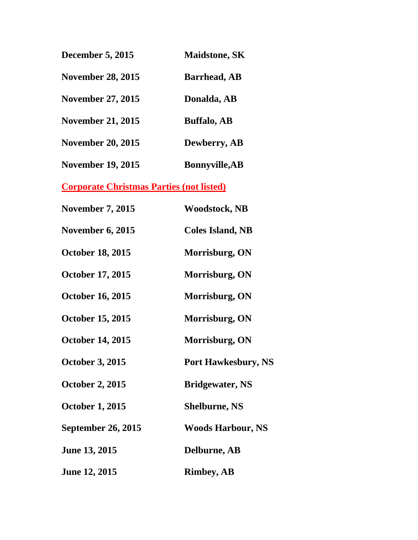| <b>December 5, 2015</b>                         | <b>Maidstone, SK</b>       |
|-------------------------------------------------|----------------------------|
| <b>November 28, 2015</b>                        | <b>Barrhead, AB</b>        |
| <b>November 27, 2015</b>                        | Donalda, AB                |
| <b>November 21, 2015</b>                        | <b>Buffalo, AB</b>         |
| <b>November 20, 2015</b>                        | Dewberry, AB               |
| <b>November 19, 2015</b>                        | <b>Bonnyville, AB</b>      |
| <b>Corporate Christmas Parties (not listed)</b> |                            |
| <b>November 7, 2015</b>                         | <b>Woodstock, NB</b>       |
| <b>November 6, 2015</b>                         | <b>Coles Island, NB</b>    |
| <b>October 18, 2015</b>                         | Morrisburg, ON             |
| <b>October 17, 2015</b>                         | Morrisburg, ON             |
| <b>October 16, 2015</b>                         | Morrisburg, ON             |
| <b>October 15, 2015</b>                         | Morrisburg, ON             |
| <b>October 14, 2015</b>                         | Morrisburg, ON             |
| <b>October 3, 2015</b>                          | <b>Port Hawkesbury, NS</b> |
| <b>October 2, 2015</b>                          | <b>Bridgewater, NS</b>     |
| <b>October 1, 2015</b>                          | <b>Shelburne, NS</b>       |
| <b>September 26, 2015</b>                       | <b>Woods Harbour, NS</b>   |
| <b>June 13, 2015</b>                            | Delburne, AB               |
| <b>June 12, 2015</b>                            | <b>Rimbey, AB</b>          |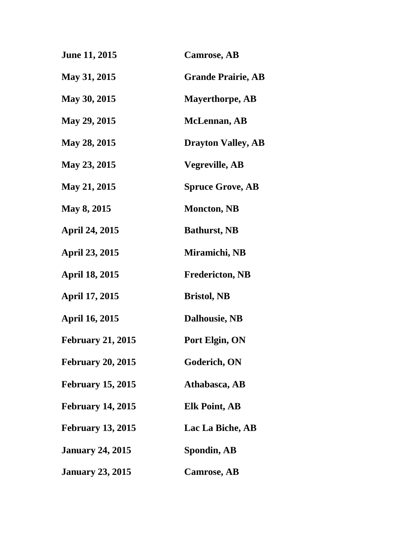| <b>June 11, 2015</b>     | <b>Camrose, AB</b>        |
|--------------------------|---------------------------|
| <b>May 31, 2015</b>      | <b>Grande Prairie, AB</b> |
| <b>May 30, 2015</b>      | <b>Mayerthorpe, AB</b>    |
| <b>May 29, 2015</b>      | <b>McLennan</b> , AB      |
| <b>May 28, 2015</b>      | <b>Drayton Valley, AB</b> |
| May 23, 2015             | <b>Vegreville, AB</b>     |
| <b>May 21, 2015</b>      | <b>Spruce Grove, AB</b>   |
| <b>May 8, 2015</b>       | <b>Moncton, NB</b>        |
| <b>April 24, 2015</b>    | <b>Bathurst, NB</b>       |
| <b>April 23, 2015</b>    | Miramichi, NB             |
| <b>April 18, 2015</b>    | <b>Fredericton, NB</b>    |
| April 17, 2015           | <b>Bristol, NB</b>        |
| <b>April 16, 2015</b>    | <b>Dalhousie, NB</b>      |
| <b>February 21, 2015</b> | Port Elgin, ON            |
| <b>February 20, 2015</b> | Goderich, ON              |
| <b>February 15, 2015</b> | Athabasca, AB             |
| <b>February 14, 2015</b> | <b>Elk Point, AB</b>      |
| <b>February 13, 2015</b> | Lac La Biche, AB          |
| <b>January 24, 2015</b>  | Spondin, AB               |
| <b>January 23, 2015</b>  | <b>Camrose, AB</b>        |
|                          |                           |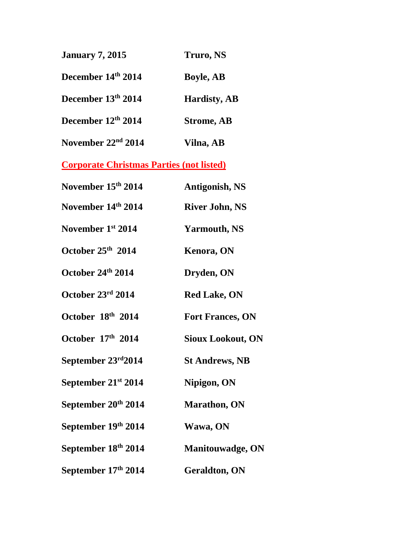| <b>January 7, 2015</b>         | Truro, NS           |
|--------------------------------|---------------------|
| December 14th 2014             | <b>Boyle, AB</b>    |
| December 13th 2014             | <b>Hardisty, AB</b> |
| December 12th 2014             | <b>Strome, AB</b>   |
| November 22 <sup>nd</sup> 2014 | Vilna, AB           |

| November 15th 2014              | <b>Antigonish, NS</b>    |
|---------------------------------|--------------------------|
| November 14th 2014              | <b>River John, NS</b>    |
| November 1st 2014               | <b>Yarmouth, NS</b>      |
| October 25th 2014               | <b>Kenora, ON</b>        |
| October 24th 2014               | Dryden, ON               |
| October 23rd 2014               | <b>Red Lake, ON</b>      |
| October 18th 2014               | <b>Fort Frances, ON</b>  |
| October 17th 2014               | <b>Sioux Lookout, ON</b> |
| September $23rd2014$            | <b>St Andrews, NB</b>    |
| September 21 <sup>st</sup> 2014 | Nipigon, ON              |
| September 20 <sup>th</sup> 2014 | <b>Marathon</b> , ON     |
| September 19th 2014             | Wawa, ON                 |
| September 18th 2014             | <b>Manitouwadge, ON</b>  |
| September 17th 2014             | <b>Geraldton, ON</b>     |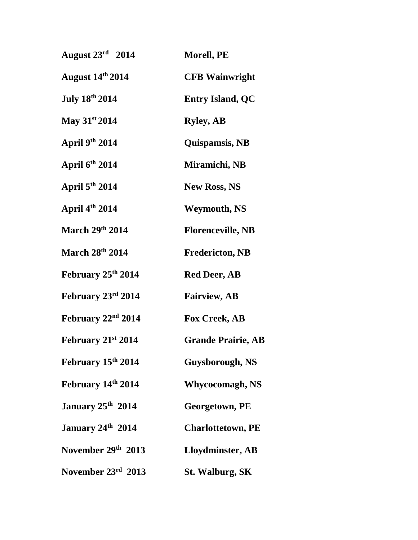| August $23^{\text{rd}}$ 2014   | <b>Morell, PE</b>         |
|--------------------------------|---------------------------|
| <b>August 14th 2014</b>        | <b>CFB Wainwright</b>     |
| <b>July 18th 2014</b>          | <b>Entry Island, QC</b>   |
| May $31^{st}$ 2014             | <b>Ryley, AB</b>          |
| April $9th 2014$               | Quispamsis, NB            |
| April $6th 2014$               | Miramichi, NB             |
| April $5th 2014$               | <b>New Ross, NS</b>       |
| April 4th 2014                 | <b>Weymouth, NS</b>       |
| March 29th 2014                | <b>Florenceville, NB</b>  |
| <b>March 28th 2014</b>         | <b>Fredericton, NB</b>    |
| February 25 <sup>th</sup> 2014 | <b>Red Deer, AB</b>       |
| February 23rd 2014             | <b>Fairview, AB</b>       |
| February $22nd 2014$           | <b>Fox Creek, AB</b>      |
| February $21^{st}$ 2014        | <b>Grande Prairie, AB</b> |
| February 15th 2014             | Guysborough, NS           |
| February 14th 2014             | <b>Whycocomagh, NS</b>    |
| January 25 <sup>th</sup> 2014  | <b>Georgetown, PE</b>     |
| January 24th 2014              | <b>Charlottetown, PE</b>  |
| November 29th 2013             | Lloydminster, AB          |
| November 23rd 2013             | <b>St. Walburg, SK</b>    |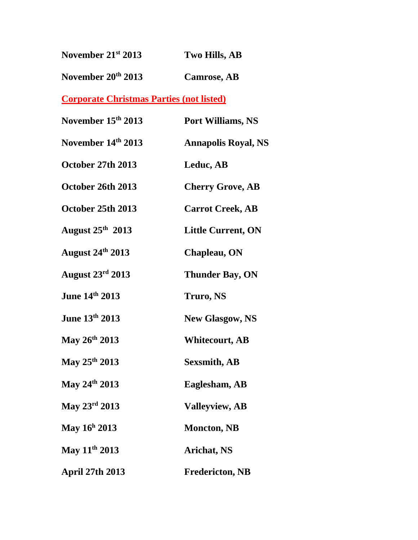| November $21^{st}$ 2013 | Two Hills, AB      |
|-------------------------|--------------------|
| November $20^{th}$ 2013 | <b>Camrose, AB</b> |

| November 15th 2013        | Port Williams, NS          |
|---------------------------|----------------------------|
| November 14th 2013        | <b>Annapolis Royal, NS</b> |
| October 27th 2013         | Leduc, AB                  |
| October 26th 2013         | <b>Cherry Grove, AB</b>    |
| October 25th 2013         | <b>Carrot Creek, AB</b>    |
| August $25th$ 2013        | <b>Little Current, ON</b>  |
| <b>August 24th 2013</b>   | Chapleau, ON               |
| August $23^{\rm rd}$ 2013 | <b>Thunder Bay, ON</b>     |
| June 14th 2013            | Truro, NS                  |
| June 13th 2013            | <b>New Glasgow, NS</b>     |
| May 26th 2013             | <b>Whitecourt, AB</b>      |
| May $25^{th}$ 2013        | <b>Sexsmith, AB</b>        |
| May $24^{\text{th}}$ 2013 | Eaglesham, AB              |
| May $23^{\rm rd} 2013$    | <b>Valleyview, AB</b>      |
| May $16^h 2013$           | <b>Moncton, NB</b>         |
| May 11 <sup>th</sup> 2013 | <b>Arichat, NS</b>         |
| <b>April 27th 2013</b>    | <b>Fredericton, NB</b>     |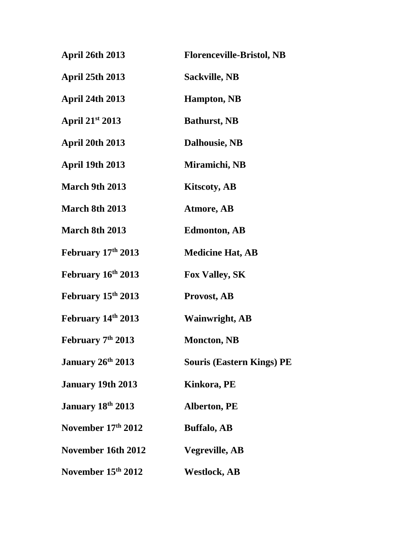| <b>April 26th 2013</b>        | <b>Florenceville-Bristol, NB</b> |
|-------------------------------|----------------------------------|
| <b>April 25th 2013</b>        | <b>Sackville, NB</b>             |
| <b>April 24th 2013</b>        | <b>Hampton</b> , NB              |
| April 21st 2013               | <b>Bathurst, NB</b>              |
| <b>April 20th 2013</b>        | <b>Dalhousie, NB</b>             |
| <b>April 19th 2013</b>        | Miramichi, NB                    |
| <b>March 9th 2013</b>         | <b>Kitscoty, AB</b>              |
| <b>March 8th 2013</b>         | <b>Atmore, AB</b>                |
| <b>March 8th 2013</b>         | <b>Edmonton, AB</b>              |
| <b>February 17th 2013</b>     | <b>Medicine Hat, AB</b>          |
| February 16th 2013            | <b>Fox Valley, SK</b>            |
| February 15th 2013            | Provost, AB                      |
| February 14th 2013            | <b>Wainwright, AB</b>            |
| February 7 <sup>th</sup> 2013 | <b>Moncton, NB</b>               |
| January 26 <sup>th</sup> 2013 | <b>Souris (Eastern Kings) PE</b> |
| <b>January 19th 2013</b>      | Kinkora, PE                      |
| January 18 <sup>th</sup> 2013 | <b>Alberton, PE</b>              |
| November 17th 2012            | <b>Buffalo, AB</b>               |
| November 16th 2012            | <b>Vegreville, AB</b>            |
| November 15th 2012            | <b>Westlock, AB</b>              |
|                               |                                  |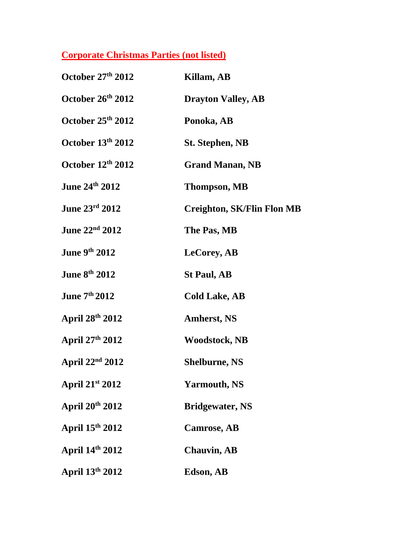| October 27th 2012           | Killam, AB                        |
|-----------------------------|-----------------------------------|
| October 26th 2012           | <b>Drayton Valley, AB</b>         |
| October 25th 2012           | Ponoka, AB                        |
| October 13th 2012           | <b>St. Stephen, NB</b>            |
| October $12th 2012$         | <b>Grand Manan, NB</b>            |
| June 24th 2012              | <b>Thompson, MB</b>               |
| June 23rd 2012              | <b>Creighton, SK/Flin Flon MB</b> |
| June 22 <sup>nd</sup> 2012  | The Pas, MB                       |
| <b>June 9th 2012</b>        | <b>LeCorey, AB</b>                |
| <b>June 8th 2012</b>        | <b>St Paul, AB</b>                |
| June 7th 2012               | <b>Cold Lake, AB</b>              |
| April 28th 2012             | <b>Amherst, NS</b>                |
| April 27th 2012             | <b>Woodstock, NB</b>              |
| April $22nd 2012$           | <b>Shelburne, NS</b>              |
| April 21st 2012             | <b>Yarmouth, NS</b>               |
| April 20 <sup>th</sup> 2012 | <b>Bridgewater, NS</b>            |
| April 15th 2012             | <b>Camrose, AB</b>                |
| April 14th 2012             | <b>Chauvin, AB</b>                |
| April 13th 2012             | Edson, AB                         |